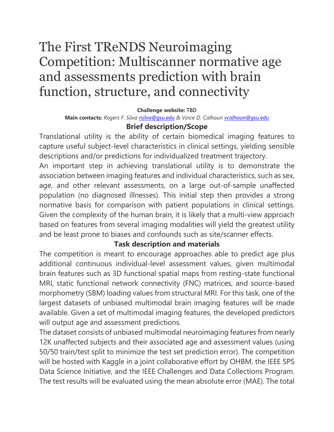# The First TReNDS Neuroimaging Competition: Multiscanner normative age and assessments prediction with brain function, structure, and connectivity

#### **Challenge website:** TBD

**Main contacts:** *Rogers F. Silva [rsilva@gsu.edu](mailto:rsilva@gsu.edu) & Vince D. Calhoun [vcalhoun@gsu.edu](mailto:vcalhoun@gsu.edu)* **Brief description/Scope**

Translational utility is the ability of certain biomedical imaging features to capture useful subject-level characteristics in clinical settings, yielding sensible descriptions and/or predictions for individualized treatment trajectory.

An important step in achieving translational utility is to demonstrate the association between imaging features and individual characteristics, such as sex, age, and other relevant assessments, on a large out-of-sample unaffected population (no diagnosed illnesses). This initial step then provides a strong normative basis for comparison with patient populations in clinical settings. Given the complexity of the human brain, it is likely that a multi-view approach based on features from several imaging modalities will yield the greatest utility and be least prone to biases and confounds such as site/scanner effects.

#### **Task description and materials**

The competition is meant to encourage approaches able to predict age plus additional continuous individual-level assessment values, given multimodal brain features such as 3D functional spatial maps from resting-state functional MRI, static functional network connectivity (FNC) matrices, and source-based morphometry (SBM) loading values from structural MRI. For this task, one of the largest datasets of unbiased multimodal brain imaging features will be made available. Given a set of multimodal imaging features, the developed predictors will output age and assessment predictions.

The dataset consists of unbiased multimodal neuroimaging features from nearly 12K unaffected subjects and their associated age and assessment values (using 50/50 train/test split to minimize the test set prediction error). The competition will be hosted with Kaggle in a joint collaborative effort by OHBM, the IEEE SPS Data Science Initiative, and the IEEE Challenges and Data Collections Program. The test results will be evaluated using the mean absolute error (MAE). The total